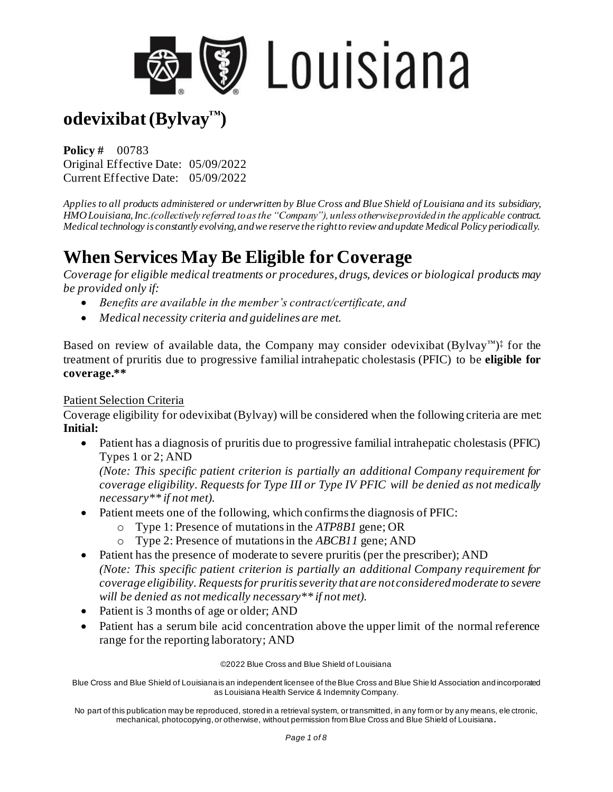

# **odevixibat (Bylvay™)**

**Policy #** 00783 Original Effective Date: 05/09/2022 Current Effective Date: 05/09/2022

*Applies to all products administered or underwritten by Blue Cross and Blue Shield of Louisiana and its subsidiary, HMO Louisiana, Inc.(collectively referred to as the "Company"), unless otherwise provided in the applicable contract. Medical technology is constantly evolving, and we reserve the right to review and update Medical Policy periodically.* 

## **When Services May Be Eligible for Coverage**

*Coverage for eligible medical treatments or procedures, drugs, devices or biological products may be provided only if:*

- *Benefits are available in the member's contract/certificate, and*
- *Medical necessity criteria and guidelines are met.*

Based on review of available data, the Company may consider odevixibat  $(Bylvay^m)$ <sup>‡</sup> for the treatment of pruritis due to progressive familial intrahepatic cholestasis (PFIC) to be **eligible for coverage.\*\***

#### Patient Selection Criteria

Coverage eligibility for odevixibat (Bylvay) will be considered when the following criteria are met: **Initial:** 

• Patient has a diagnosis of pruritis due to progressive familial intrahepatic cholestasis (PFIC) Types 1 or 2; AND

*(Note: This specific patient criterion is partially an additional Company requirement for coverage eligibility. Requests for Type III or Type IV PFIC will be denied as not medically necessary\*\* if not met).* 

- Patient meets one of the following, which confirms the diagnosis of PFIC:
	- o Type 1: Presence of mutations in the *ATP8B1* gene; OR
	- o Type 2: Presence of mutations in the *ABCB11* gene; AND
- Patient has the presence of moderate to severe pruritis (per the prescriber); AND *(Note: This specific patient criterion is partially an additional Company requirement for coverage eligibility. Requests for pruritis severity that are not consideredmoderate to severe will be denied as not medically necessary\*\* if not met).*
- Patient is 3 months of age or older; AND
- Patient has a serum bile acid concentration above the upper limit of the normal reference range for the reporting laboratory; AND

©2022 Blue Cross and Blue Shield of Louisiana

Blue Cross and Blue Shield of Louisiana is an independent licensee of the Blue Cross and Blue Shie ld Association and incorporated as Louisiana Health Service & Indemnity Company.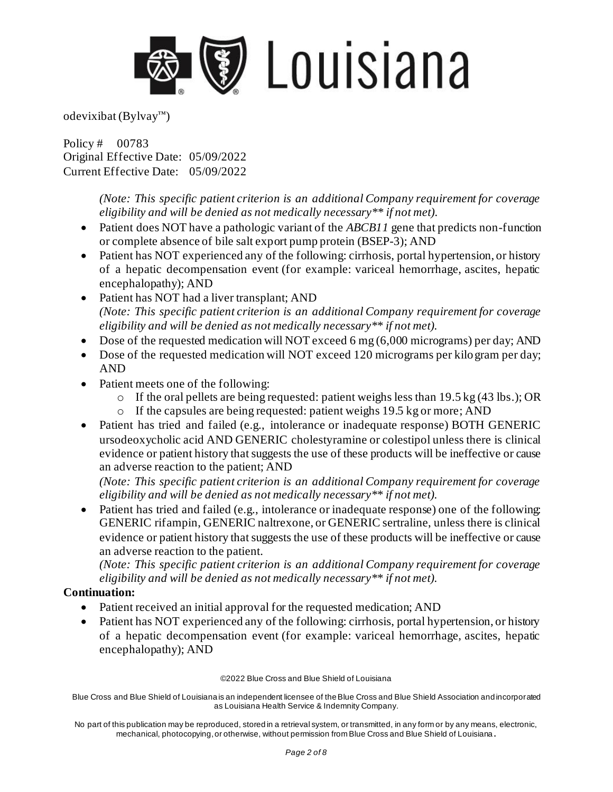

Policy # 00783 Original Effective Date: 05/09/2022 Current Effective Date: 05/09/2022

> *(Note: This specific patient criterion is an additional Company requirement for coverage eligibility and will be denied as not medically necessary\*\* if not met).*

- Patient does NOT have a pathologic variant of the *ABCB11* gene that predicts non-function or complete absence of bile salt export pump protein (BSEP-3); AND
- Patient has NOT experienced any of the following: cirrhosis, portal hypertension, or history of a hepatic decompensation event (for example: variceal hemorrhage, ascites, hepatic encephalopathy); AND
- Patient has NOT had a liver transplant; AND *(Note: This specific patient criterion is an additional Company requirement for coverage eligibility and will be denied as not medically necessary\*\* if not met).*
- Dose of the requested medication will NOT exceed 6 mg (6,000 micrograms) per day; AND
- Dose of the requested medication will NOT exceed 120 micrograms per kilogram per day; AND
- Patient meets one of the following:
	- o If the oral pellets are being requested: patient weighs less than 19.5 kg (43 lbs.); OR
	- o If the capsules are being requested: patient weighs 19.5 kg or more; AND
- Patient has tried and failed (e.g., intolerance or inadequate response) BOTH GENERIC ursodeoxycholic acid AND GENERIC cholestyramine or colestipol unless there is clinical evidence or patient history that suggests the use of these products will be ineffective or cause an adverse reaction to the patient; AND

*(Note: This specific patient criterion is an additional Company requirement for coverage eligibility and will be denied as not medically necessary\*\* if not met).* 

• Patient has tried and failed (e.g., intolerance or inadequate response) one of the following: GENERIC rifampin, GENERIC naltrexone, or GENERIC sertraline, unless there is clinical evidence or patient history that suggests the use of these products will be ineffective or cause an adverse reaction to the patient.

*(Note: This specific patient criterion is an additional Company requirement for coverage eligibility and will be denied as not medically necessary\*\* if not met).* 

#### **Continuation:**

- Patient received an initial approval for the requested medication; AND
- Patient has NOT experienced any of the following: cirrhosis, portal hypertension, or history of a hepatic decompensation event (for example: variceal hemorrhage, ascites, hepatic encephalopathy); AND

©2022 Blue Cross and Blue Shield of Louisiana

Blue Cross and Blue Shield of Louisiana is an independent licensee of the Blue Cross and Blue Shield Association and incorporated as Louisiana Health Service & Indemnity Company.

No part of this publication may be reproduced, stored in a retrieval system, or transmitted, in any form or by any means, electronic, mechanical, photocopying, or otherwise, without permission from Blue Cross and Blue Shield of Louisiana **.**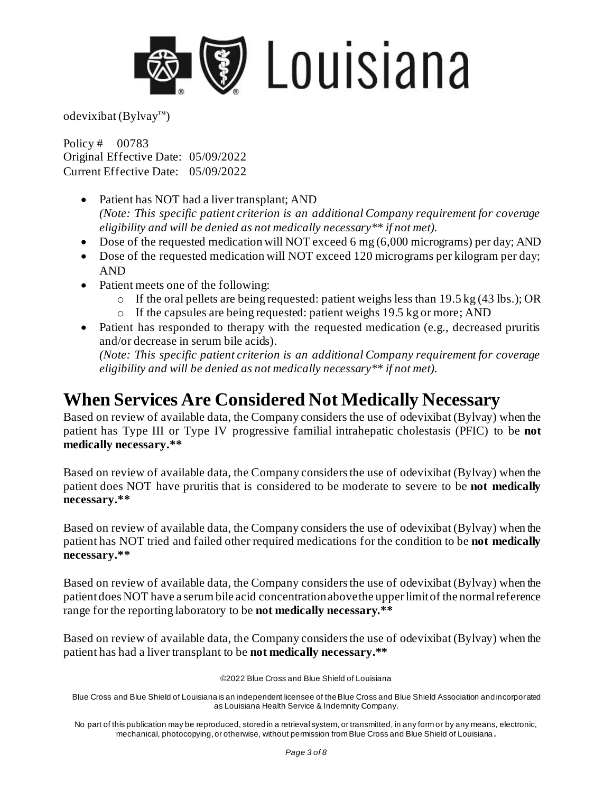

odevixibat (Bylvay™)

Policy # 00783 Original Effective Date: 05/09/2022 Current Effective Date: 05/09/2022

- Patient has NOT had a liver transplant; AND *(Note: This specific patient criterion is an additional Company requirement for coverage eligibility and will be denied as not medically necessary\*\* if not met).*
- Dose of the requested medication will NOT exceed 6 mg (6,000 micrograms) per day; AND
- Dose of the requested medication will NOT exceed 120 micrograms per kilogram per day; AND
- Patient meets one of the following:
	- $\circ$  If the oral pellets are being requested: patient weighs less than 19.5 kg (43 lbs.); OR
	- o If the capsules are being requested: patient weighs 19.5 kg or more; AND
- Patient has responded to therapy with the requested medication (e.g., decreased pruritis and/or decrease in serum bile acids). *(Note: This specific patient criterion is an additional Company requirement for coverage*

*eligibility and will be denied as not medically necessary\*\* if not met).* 

### **When Services Are Considered Not Medically Necessary**

Based on review of available data, the Company considers the use of odevixibat (Bylvay) when the patient has Type III or Type IV progressive familial intrahepatic cholestasis (PFIC) to be **not medically necessary.\*\***

Based on review of available data, the Company considers the use of odevixibat (Bylvay) when the patient does NOT have pruritis that is considered to be moderate to severe to be **not medically necessary.\*\***

Based on review of available data, the Company considers the use of odevixibat (Bylvay) when the patient has NOT tried and failed other required medications for the condition to be **not medically necessary.\*\***

Based on review of available data, the Company considers the use of odevixibat (Bylvay) when the patient does NOT have a serum bile acid concentration above the upper limit of the normal reference range for the reporting laboratory to be **not medically necessary.\*\***

Based on review of available data, the Company considers the use of odevixibat (Bylvay) when the patient has had a liver transplant to be **not medically necessary.\*\***

©2022 Blue Cross and Blue Shield of Louisiana

Blue Cross and Blue Shield of Louisiana is an independent licensee of the Blue Cross and Blue Shield Association and incorporated as Louisiana Health Service & Indemnity Company.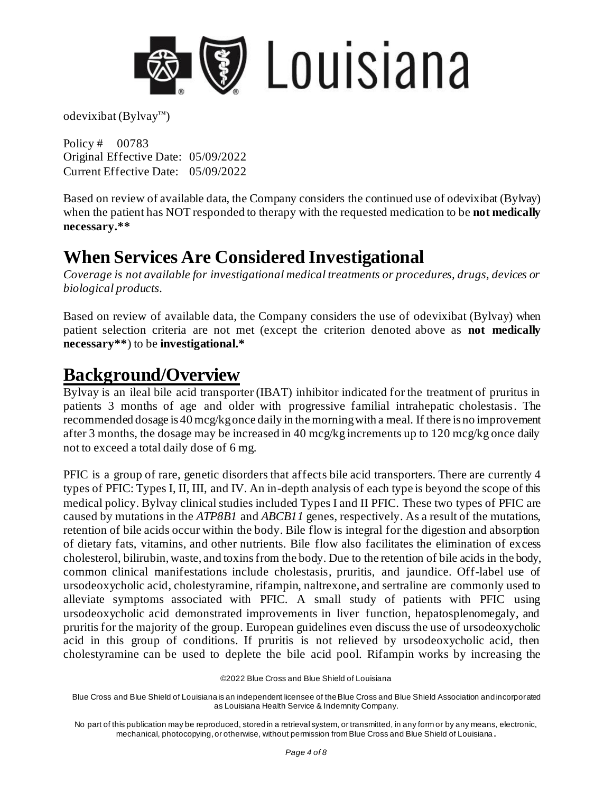

Policy # 00783 Original Effective Date: 05/09/2022 Current Effective Date: 05/09/2022

Based on review of available data, the Company considers the continued use of odevixibat (Bylvay) when the patient has NOT responded to therapy with the requested medication to be **not medically necessary.\*\***

## **When Services Are Considered Investigational**

*Coverage is not available for investigational medical treatments or procedures, drugs, devices or biological products.*

Based on review of available data, the Company considers the use of odevixibat (Bylvay) when patient selection criteria are not met (except the criterion denoted above as **not medically necessary\*\***) to be **investigational.\***

### **Background/Overview**

Bylvay is an ileal bile acid transporter (IBAT) inhibitor indicated for the treatment of pruritus in patients 3 months of age and older with progressive familial intrahepatic cholestasis. The recommended dosage is 40 mcg/kg once daily in the morning with a meal. If there is no improvement after 3 months, the dosage may be increased in 40 mcg/kg increments up to 120 mcg/kg once daily not to exceed a total daily dose of 6 mg.

PFIC is a group of rare, genetic disorders that affects bile acid transporters. There are currently 4 types of PFIC: Types I, II, III, and IV. An in-depth analysis of each type is beyond the scope of this medical policy. Bylvay clinical studies included Types I and II PFIC. These two types of PFIC are caused by mutations in the *ATP8B1* and *ABCB11* genes, respectively. As a result of the mutations, retention of bile acids occur within the body. Bile flow is integral for the digestion and absorption of dietary fats, vitamins, and other nutrients. Bile flow also facilitates the elimination of excess cholesterol, bilirubin, waste, and toxins from the body. Due to the retention of bile acids in the body, common clinical manifestations include cholestasis, pruritis, and jaundice. Off-label use of ursodeoxycholic acid, cholestyramine, rifampin, naltrexone, and sertraline are commonly used to alleviate symptoms associated with PFIC. A small study of patients with PFIC using ursodeoxycholic acid demonstrated improvements in liver function, hepatosplenomegaly, and pruritis for the majority of the group. European guidelines even discuss the use of ursodeoxycholic acid in this group of conditions. If pruritis is not relieved by ursodeoxycholic acid, then cholestyramine can be used to deplete the bile acid pool. Rifampin works by increasing the

<sup>©2022</sup> Blue Cross and Blue Shield of Louisiana

Blue Cross and Blue Shield of Louisiana is an independent licensee of the Blue Cross and Blue Shield Association and incorporated as Louisiana Health Service & Indemnity Company.

No part of this publication may be reproduced, stored in a retrieval system, or transmitted, in any form or by any means, electronic, mechanical, photocopying, or otherwise, without permission from Blue Cross and Blue Shield of Louisiana **.**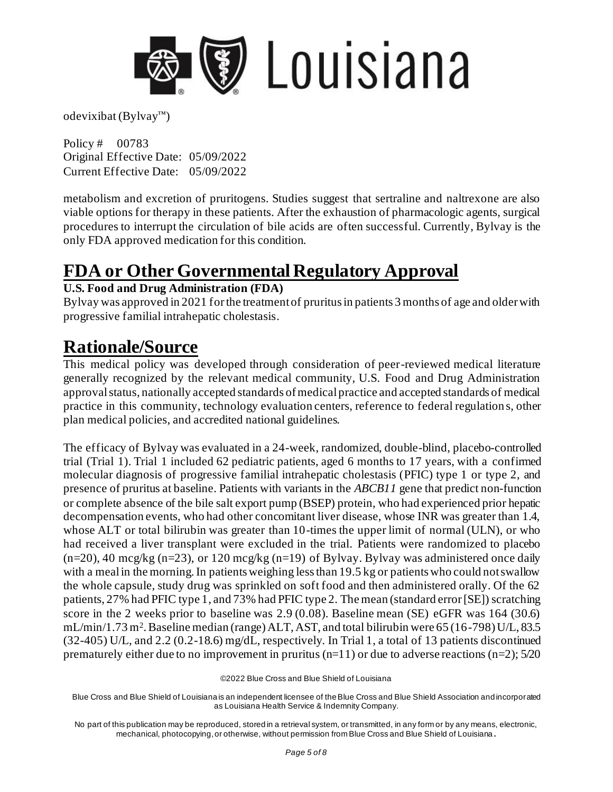

Policy # 00783 Original Effective Date: 05/09/2022 Current Effective Date: 05/09/2022

metabolism and excretion of pruritogens. Studies suggest that sertraline and naltrexone are also viable options for therapy in these patients. After the exhaustion of pharmacologic agents, surgical procedures to interrupt the circulation of bile acids are often successful. Currently, Bylvay is the only FDA approved medication for this condition.

### **FDA or Other Governmental Regulatory Approval**

#### **U.S. Food and Drug Administration (FDA)**

Bylvay was approved in 2021 for the treatment of pruritus in patients 3 months of age and older with progressive familial intrahepatic cholestasis.

### **Rationale/Source**

This medical policy was developed through consideration of peer-reviewed medical literature generally recognized by the relevant medical community, U.S. Food and Drug Administration approval status, nationally accepted standards of medical practice and accepted standards of medical practice in this community, technology evaluation centers, reference to federal regulation s, other plan medical policies, and accredited national guidelines.

The efficacy of Bylvay was evaluated in a 24-week, randomized, double-blind, placebo-controlled trial (Trial 1). Trial 1 included 62 pediatric patients, aged 6 months to 17 years, with a confirmed molecular diagnosis of progressive familial intrahepatic cholestasis (PFIC) type 1 or type 2, and presence of pruritus at baseline. Patients with variants in the *ABCB11* gene that predict non-function or complete absence of the bile salt export pump (BSEP) protein, who had experienced prior hepatic decompensation events, who had other concomitant liver disease, whose INR was greater than 1.4, whose ALT or total bilirubin was greater than 10-times the upper limit of normal (ULN), or who had received a liver transplant were excluded in the trial. Patients were randomized to placebo  $(n=20)$ , 40 mcg/kg  $(n=23)$ , or 120 mcg/kg  $(n=19)$  of Bylvay. Bylvay was administered once daily with a meal in the morning. In patients weighing less than 19.5 kg or patients who could not swallow the whole capsule, study drug was sprinkled on soft food and then administered orally. Of the 62 patients, 27% had PFIC type 1, and 73% had PFIC type 2. The mean (standard error [SE]) scratching score in the 2 weeks prior to baseline was 2.9 (0.08). Baseline mean (SE) eGFR was 164 (30.6) mL/min/1.73 m<sup>2</sup>. Baseline median (range) ALT, AST, and total bilirubin were 65 (16-798) U/L, 83.5 (32-405) U/L, and 2.2 (0.2-18.6) mg/dL, respectively. In Trial 1, a total of 13 patients discontinued prematurely either due to no improvement in pruritus (n=11) or due to adverse reactions (n=2);  $5/20$ 

©2022 Blue Cross and Blue Shield of Louisiana

Blue Cross and Blue Shield of Louisiana is an independent licensee of the Blue Cross and Blue Shield Association and incorporated as Louisiana Health Service & Indemnity Company.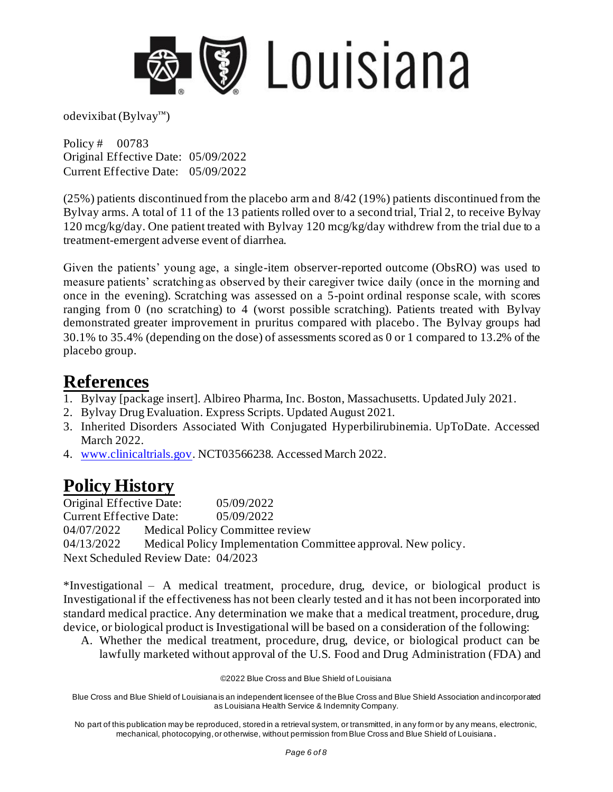

Policy # 00783 Original Effective Date: 05/09/2022 Current Effective Date: 05/09/2022

(25%) patients discontinued from the placebo arm and 8/42 (19%) patients discontinued from the Bylvay arms. A total of 11 of the 13 patients rolled over to a second trial, Trial 2, to receive Bylvay 120 mcg/kg/day. One patient treated with Bylvay 120 mcg/kg/day withdrew from the trial due to a treatment-emergent adverse event of diarrhea.

Given the patients' young age, a single-item observer-reported outcome (ObsRO) was used to measure patients' scratching as observed by their caregiver twice daily (once in the morning and once in the evening). Scratching was assessed on a 5-point ordinal response scale, with scores ranging from 0 (no scratching) to 4 (worst possible scratching). Patients treated with Bylvay demonstrated greater improvement in pruritus compared with placebo. The Bylvay groups had 30.1% to 35.4% (depending on the dose) of assessments scored as 0 or 1 compared to 13.2% of the placebo group.

#### **References**

- 1. Bylvay [package insert]. Albireo Pharma, Inc. Boston, Massachusetts. Updated July 2021.
- 2. Bylvay Drug Evaluation. Express Scripts. Updated August 2021.
- 3. Inherited Disorders Associated With Conjugated Hyperbilirubinemia. UpToDate. Accessed March 2022.
- 4. [www.clinicaltrials.gov.](http://www.clinicaltrials.gov/) NCT03566238. Accessed March 2022.

### **Policy History**

Original Effective Date: 05/09/2022 Current Effective Date: 05/09/2022 04/07/2022 Medical Policy Committee review 04/13/2022 Medical Policy Implementation Committee approval. New policy. Next Scheduled Review Date: 04/2023

\*Investigational – A medical treatment, procedure, drug, device, or biological product is Investigational if the effectiveness has not been clearly tested and it has not been incorporated into standard medical practice. Any determination we make that a medical treatment, procedure, drug, device, or biological product is Investigational will be based on a consideration of the following:

A. Whether the medical treatment, procedure, drug, device, or biological product can be lawfully marketed without approval of the U.S. Food and Drug Administration (FDA) and

©2022 Blue Cross and Blue Shield of Louisiana

Blue Cross and Blue Shield of Louisiana is an independent licensee of the Blue Cross and Blue Shield Association and incorporated as Louisiana Health Service & Indemnity Company.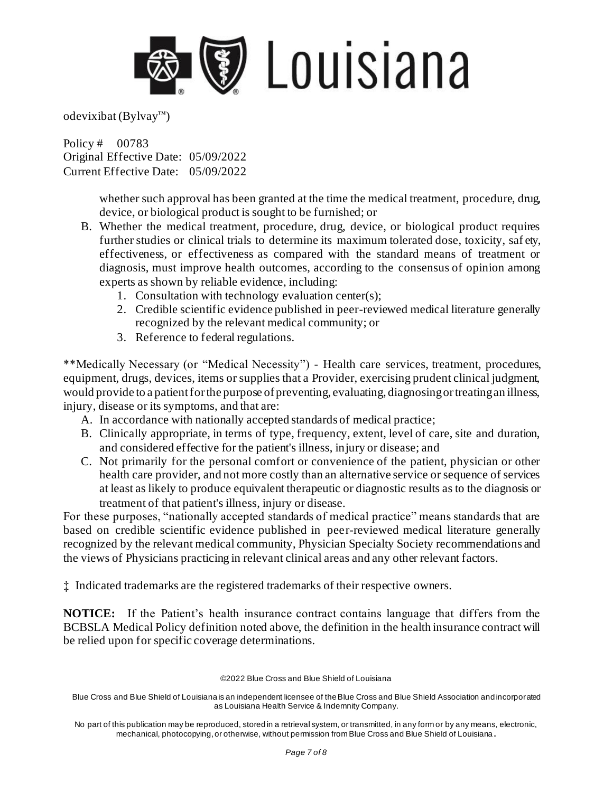

Policy # 00783 Original Effective Date: 05/09/2022 Current Effective Date: 05/09/2022

> whether such approval has been granted at the time the medical treatment, procedure, drug, device, or biological product is sought to be furnished; or

- B. Whether the medical treatment, procedure, drug, device, or biological product requires further studies or clinical trials to determine its maximum tolerated dose, toxicity, saf ety, effectiveness, or effectiveness as compared with the standard means of treatment or diagnosis, must improve health outcomes, according to the consensus of opinion among experts as shown by reliable evidence, including:
	- 1. Consultation with technology evaluation center(s);
	- 2. Credible scientific evidence published in peer-reviewed medical literature generally recognized by the relevant medical community; or
	- 3. Reference to federal regulations.

\*\*Medically Necessary (or "Medical Necessity") - Health care services, treatment, procedures, equipment, drugs, devices, items or supplies that a Provider, exercising prudent clinical judgment, would provide to a patient for the purpose of preventing, evaluating, diagnosing or treating an illness, injury, disease or its symptoms, and that are:

- A. In accordance with nationally accepted standards of medical practice;
- B. Clinically appropriate, in terms of type, frequency, extent, level of care, site and duration, and considered effective for the patient's illness, injury or disease; and
- C. Not primarily for the personal comfort or convenience of the patient, physician or other health care provider, and not more costly than an alternative service or sequence of services at least as likely to produce equivalent therapeutic or diagnostic results as to the diagnosis or treatment of that patient's illness, injury or disease.

For these purposes, "nationally accepted standards of medical practice" means standards that are based on credible scientific evidence published in peer-reviewed medical literature generally recognized by the relevant medical community, Physician Specialty Society recommendations and the views of Physicians practicing in relevant clinical areas and any other relevant factors.

‡ Indicated trademarks are the registered trademarks of their respective owners.

**NOTICE:** If the Patient's health insurance contract contains language that differs from the BCBSLA Medical Policy definition noted above, the definition in the health insurance contract will be relied upon for specific coverage determinations.

©2022 Blue Cross and Blue Shield of Louisiana

Blue Cross and Blue Shield of Louisiana is an independent licensee of the Blue Cross and Blue Shield Association and incorporated as Louisiana Health Service & Indemnity Company.